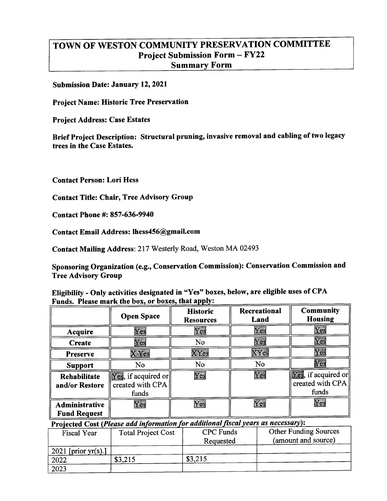### TOWN OF WESTON COMMUNITY PRESERVATION COMMITTEE **Project Submission Form - FY22 Summary Form**

**Submission Date: January 12, 2021** 

**Project Name: Historic Tree Preservation** 

**Project Address: Case Estates** 

Brief Project Description: Structural pruning, invasive removal and cabling of two legacy trees in the Case Estates.

**Contact Person: Lori Hess** 

**Contact Title: Chair, Tree Advisory Group** 

**Contact Phone #: 857-636-9940** 

Contact Email Address: lhess456@gmail.com

Contact Mailing Address: 217 Westerly Road, Weston MA 02493

Sponsoring Organization (e.g., Conservation Commission): Conservation Commission and **Tree Advisory Group** 

Eligibility - Only activities designated in "Yes" boxes, below, are eligible uses of CPA Funds. Please mark the box, or boxes, that apply:

|                                       | <b>Open Space</b>                                                                | <b>Historic</b><br><b>Resources</b> | Recreational<br>Land | <b>Community</b><br><b>Housing</b>                                                   |
|---------------------------------------|----------------------------------------------------------------------------------|-------------------------------------|----------------------|--------------------------------------------------------------------------------------|
| <b>Acquire</b>                        | Yes                                                                              | Yes                                 | Yes                  | Yes                                                                                  |
| <b>Create</b>                         | Yes                                                                              | No                                  | Yes                  | Yes                                                                                  |
| <b>Preserve</b>                       | X Yes                                                                            | XYes                                | XYes                 | Yes                                                                                  |
| <b>Support</b>                        | No                                                                               | No                                  | No                   | Yes                                                                                  |
| <b>Rehabilitate</b><br>and/or Restore | $\sqrt{\left \mathbf{Yes}\right }$ , if acquired or<br>created with CPA<br>funds | Yes                                 | Yes                  | $\left  \overline{\text{Yes}} \right $ , if acquired or<br>created with CPA<br>funds |
| Administrative<br><b>Fund Request</b> | Yes                                                                              | Yes                                 | Yes                  | Yes                                                                                  |

Projected Cost (Please add information for additional fiscal years as necessary):

| <b>Fiscal Year</b>     | <b>Total Project Cost</b> | <b>CPC</b> Funds<br>Requested | <b>Other Funding Sources</b><br>(amount and source) |
|------------------------|---------------------------|-------------------------------|-----------------------------------------------------|
| 2021 [prior $yr(s)$ .] |                           |                               |                                                     |
| 2022                   | \$3,215                   | \$3,215                       |                                                     |
| 2023                   |                           |                               |                                                     |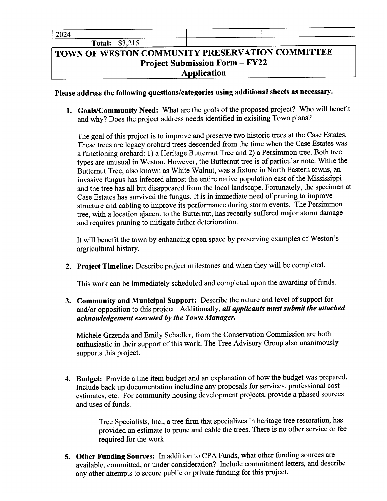| 2024 |                          |  |
|------|--------------------------|--|
|      | <b>Total:</b> $  $3,215$ |  |

### TOWN OF WESTON COMMUNITY PRESERVATION COMMITTEE **Project Submission Form - FY22** Application

Please address the following questions/categories using additional sheets as necessary.

1. Goals/Community Need: What are the goals of the proposed project? Who will benefit and why? Does the project address needs identified in exisiting Town plans?

The goal of this project is to improve and preserve two historic trees at the Case Estates. These trees are legacy orchard trees descended from the time when the Case Estates was a functioning orchard: 1) a Heritage Butternut Tree and 2) a Persimmon tree. Both tree types are unusual in Weston. However, the Butternut tree is of particular note. While the Butternut Tree, also known as White Walnut, was a fixture in North Eastern towns, an invasive fungus has infected almost the entire native population east of the Mississippi and the tree has all but disappeared from the local landscape. Fortunately, the specimen at Case Estates has survived the fungus. It is in immediate need of pruning to improve structure and cabling to improve its performance during storm events. The Persimmon tree, with a location ajacent to the Butternut, has recently suffered major storm damage and requires pruning to mitigate futher deterioration.

It will benefit the town by enhancing open space by preserving examples of Weston's argricultural history.

2. Project Timeline: Describe project milestones and when they will be completed.

This work can be immediately scheduled and completed upon the awarding of funds.

3. Community and Municipal Support: Describe the nature and level of support for and/or opposition to this project. Additionally, all applicants must submit the attached acknowledgement executed by the Town Manager.

Michele Grzenda and Emily Schadler, from the Conservation Commission are both enthusiastic in their support of this work. The Tree Advisory Group also unanimously supports this project.

4. Budget: Provide a line item budget and an explanation of how the budget was prepared. Include back up documentation including any proposals for services, professional cost estimates, etc. For community housing development projects, provide a phased sources and uses of funds.

> Tree Specialists, Inc., a tree firm that specializes in heritage tree restoration, has provided an estimate to prune and cable the trees. There is no other service or fee required for the work.

5. Other Funding Sources: In addition to CPA Funds, what other funding sources are available, committed, or under consideration? Include commitment letters, and describe any other attempts to secure public or private funding for this project.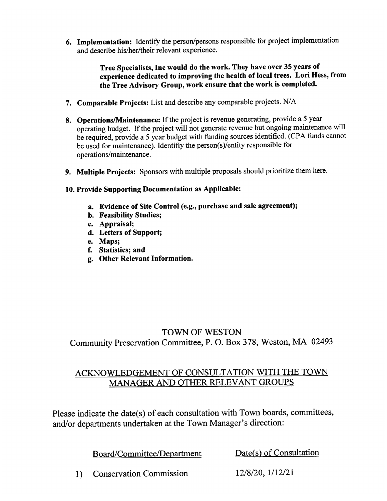6. Implementation: Identify the person/persons responsible for project implementation and describe his/her/their relevant experience.

> Tree Specialists, Inc would do the work. They have over 35 years of experience dedicated to improving the health of local trees. Lori Hess, from the Tree Advisory Group, work ensure that the work is completed.

- 7. Comparable Projects: List and describe any comparable projects. N/A
- 8. Operations/Maintenance: If the project is revenue generating, provide a 5 year operating budget. If the project will not generate revenue but ongoing maintenance will be required, provide a 5 year budget with funding sources identified. (CPA funds cannot be used for maintenance). Identifiy the person(s)/entity responsible for operations/maintenance.
- 9. Multiple Projects: Sponsors with multiple proposals should prioritize them here.

### 10. Provide Supporting Documentation as Applicable:

- a. Evidence of Site Control (e.g., purchase and sale agreement);
- **b.** Feasibility Studies;
- c. Appraisal:
- d. Letters of Support;
- e. Maps;
- f. Statistics; and
- g. Other Relevant Information.

### **TOWN OF WESTON** Community Preservation Committee, P. O. Box 378, Weston, MA 02493

### ACKNOWLEDGEMENT OF CONSULTATION WITH THE TOWN MANAGER AND OTHER RELEVANT GROUPS

Please indicate the date(s) of each consultation with Town boards, committees, and/or departments undertaken at the Town Manager's direction:

Board/Committee/Department

Date(s) of Consultation

12/8/20, 1/12/21 **Conservation Commission**  $1)$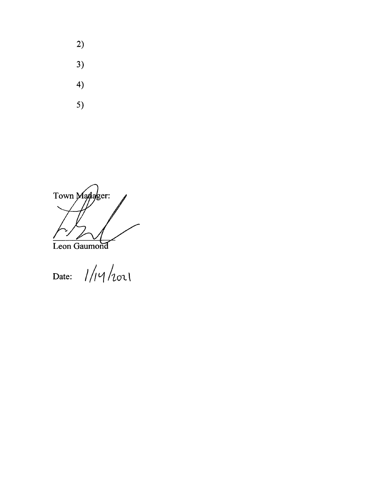- $2)$
- $3)$
- $4)$
- $5)$

Town Manager: Leon Gaumond

Date:  $1/14/101$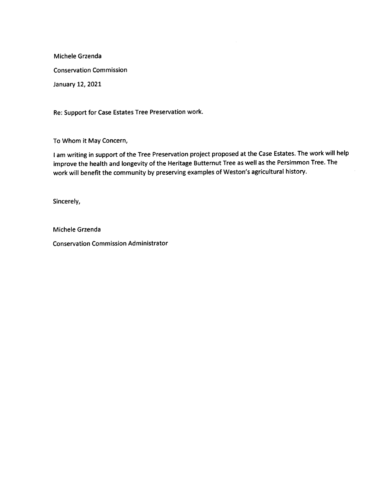Michele Grzenda **Conservation Commission** January 12, 2021

Re: Support for Case Estates Tree Preservation work.

To Whom it May Concern,

I am writing in support of the Tree Preservation project proposed at the Case Estates. The work will help improve the health and longevity of the Heritage Butternut Tree as well as the Persimmon Tree. The work will benefit the community by preserving examples of Weston's agricultural history.

Sincerely,

Michele Grzenda

**Conservation Commission Administrator**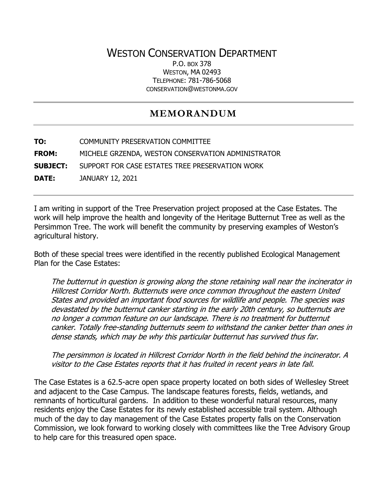# WESTON CONSERVATION DEPARTMENT

P.O. BOX 378 WESTON, MA 02493 TELEPHONE: 781-786-5068 CONSERVATION@WESTONMA.GOV

# **MEMORANDUM**

**TO:** COMMUNITY PRESERVATION COMMITTEE **FROM:** MICHELE GRZENDA, WESTON CONSERVATION ADMINISTRATOR **SUBJECT:** SUPPORT FOR CASE ESTATES TREE PRESERVATION WORK **DATE:** JANUARY 12, 2021

I am writing in support of the Tree Preservation project proposed at the Case Estates. The work will help improve the health and longevity of the Heritage Butternut Tree as well as the Persimmon Tree. The work will benefit the community by preserving examples of Weston's agricultural history.

Both of these special trees were identified in the recently published Ecological Management Plan for the Case Estates:

The butternut in question is growing along the stone retaining wall near the incinerator in Hillcrest Corridor North. Butternuts were once common throughout the eastern United States and provided an important food sources for wildlife and people. The species was devastated by the butternut canker starting in the early 20th century, so butternuts are no longer a common feature on our landscape. There is no treatment for butternut canker. Totally free-standing butternuts seem to withstand the canker better than ones in dense stands, which may be why this particular butternut has survived thus far.

The persimmon is located in Hillcrest Corridor North in the field behind the incinerator. A visitor to the Case Estates reports that it has fruited in recent years in late fall.

The Case Estates is a 62.5-acre open space property located on both sides of Wellesley Street and adjacent to the Case Campus. The landscape features forests, fields, wetlands, and remnants of horticultural gardens. In addition to these wonderful natural resources, many residents enjoy the Case Estates for its newly established accessible trail system. Although much of the day to day management of the Case Estates property falls on the Conservation Commission, we look forward to working closely with committees like the Tree Advisory Group to help care for this treasured open space.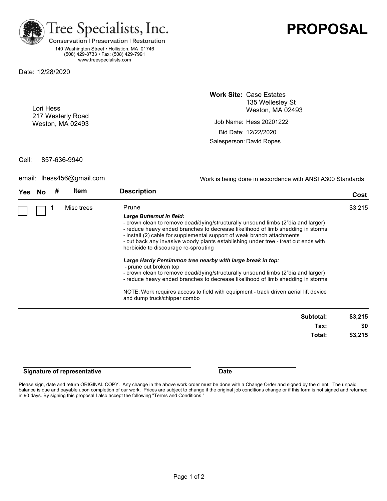

140 Washington Street • Hollistion, MA 01746 (508) 429-8733 • Fax: (508) 429-7991 www.treespecialists.com

Date: 12/28/2020

Lori Hess 217 Westerly Road Weston, MA 02493 **Work Site:** Case Estates 135 Wellesley St Weston, MA 02493

Salesperson: David Ropes Job Name: Hess 20201222 Bid Date: 12/22/2020

Cell: 857-636-9940

email: lhess456@gmail.com

Work is being done in accordance with ANSI A300 Standards

**PROPOSAL**

| Yes. |  | <b>Item</b> | <b>Description</b>                                                                                                                                                                                                                                                                                                                                                                                        | Cost    |
|------|--|-------------|-----------------------------------------------------------------------------------------------------------------------------------------------------------------------------------------------------------------------------------------------------------------------------------------------------------------------------------------------------------------------------------------------------------|---------|
|      |  | Misc trees  | Prune                                                                                                                                                                                                                                                                                                                                                                                                     | \$3,215 |
|      |  |             | Large Butternut in field:<br>- crown clean to remove dead/dying/structurally unsound limbs (2"dia and larger)<br>- reduce heavy ended branches to decrease likelihood of limb shedding in storms<br>- install (2) cable for supplemental support of weak branch attachments<br>- cut back any invasive woody plants establishing under tree - treat cut ends with<br>herbicide to discourage re-sprouting |         |
|      |  |             | Large Hardy Persimmon tree nearby with large break in top:<br>- prune out broken top<br>- crown clean to remove dead/dying/structurally unsound limbs (2"dia and larger)<br>- reduce heavy ended branches to decrease likelihood of limb shedding in storms                                                                                                                                               |         |
|      |  |             | NOTE: Work requires access to field with equipment - track driven aerial lift device<br>and dump truck/chipper combo                                                                                                                                                                                                                                                                                      |         |
|      |  |             |                                                                                                                                                                                                                                                                                                                                                                                                           |         |

| Subtotal: | \$3,215 |
|-----------|---------|
| Tax:      | \$0     |
| Total:    | \$3,215 |
|           |         |

### **Signature of representative and all of the Signature Date**

Please sign, date and return ORIGINAL COPY. Any change in the above work order must be done with a Change Order and signed by the client. The unpaid balance is due and payable upon completion of our work. Prices are subject to change if the original job conditions change or if this form is not signed and returned in 90 days. By signing this proposal I also accept the following "Terms and Conditions."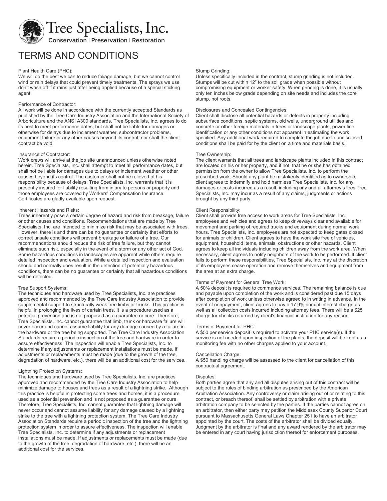

# TERMS AND CONDITIONS

#### Plant Health Care (PHC):

We will do the best we can to reduce foliage damage, but we cannot control wind or rain delays that could prevent timely treatments. The sprays we use don't wash off if it rains just after being applied because of a special sticking agent.

#### Performance of Contractor:

All work will be done in accordance with the currently accepted Standards as published by the Tree Care Industry Association and the International Society of Arboriculture and the ANSI A300 standards. Tree Specialists, Inc. agrees to do its best to meet performance dates, but shall not be liable for damages or otherwise for delays due to inclement weather, subcontractor problems, equipment failure or any other causes beyond its control; nor shall the client contract be void.

#### Insurance of Contractor:

Work crews will arrive at the job site unannounced unless otherwise noted herein. Tree Specialists, Inc. shall attempt to meet all performance dates, but shall not be liable for damages due to delays or inclement weather or other causes beyond its control. The customer shall not be relieved of his responsibility because of delays. Tree Specialists, Inc. warrants that it is presently insured for liability resulting from injury to persons or property and those employees are covered by Workers' Compensation Insurance. Certificates are gladly available upon request.

#### Inherent Hazards and Risks:

Trees inherently pose a certain degree of hazard and risk from breakage, failure or other causes and conditions. Recommendations that are made by Tree Specialists, Inc. are intended to minimize risk that may be associated with trees. However, there is and there can be no guarantee or certainty that efforts to correct unsafe conditions will prevent breakage or failure of a tree. Our recommendations should reduce the risk of tree failure, but they cannot eliminate such risk, especially in the event of a storm or any other act of God. Some hazardous conditions in landscapes are apparent while others require detailed inspection and evaluation. While a detailed inspection and evaluation should and normally does result in the detection of potentially hazardous conditions, there can be no guarantee or certainty that all hazardous conditions will be detected.

#### Tree Support Systems:

The techniques and hardware used by Tree Specialists, Inc. are practices approved and recommended by the Tree Care Industry Association to provide supplemental support to structurally weak tree limbs or trunks. This practice is helpful in prolonging the lives of certain trees. It is a procedure used as a potential prevention and is not proposed as a guarantee or cure. Therefore, Tree Specialists, Inc. cannot guarantee that limb, trunk or hardware failure will never occur and cannot assume liability for any damage caused by a failure in the hardware or the tree being supported. The Tree Care Industry Association Standards require a periodic inspection of the tree and hardware in order to assure effectiveness. The inspection will enable Tree Specialists, Inc. to determine if any adjustments or replacement installations must be made. If adjustments or replacements must be made (due to the growth of the tree, degradation of hardware, etc.), there will be an additional cost for the services.

#### Lightning Protection Systems:

The techniques and hardware used by Tree Specialists, Inc. are practices approved and recommended by the Tree Care Industry Association to help minimize damage to houses and trees as a result of a lightning strike. Although this practice is helpful in protecting some trees and homes, it is a procedure used as a potential prevention and is not proposed as a guarantee or cure. Therefore, Tree Specialists, Inc. cannot guarantee that lightning damage will never occur and cannot assume liability for any damage caused by a lightning strike to the tree with a lightning protection system. The Tree Care Industry Association Standards require a periodic inspection of the tree and the lightning protection system in order to assure effectiveness. The inspection will enable Tree Specialists, Inc. to determine if any adjustments or replacement installations must be made. If adjustments or replacements must be made (due to the growth of the tree, degradation of hardware, etc.), there will be an additional cost for the services.

#### Stump Grinding:

Unless specifically included in the contract, stump grinding is not included. Stumps will be cut within 12" to the soil grade when possible without compromising equipment or worker safety. When grinding is done, it is usually only ten inches below grade depending on site needs and includes the core stump, not roots.

#### Disclosures and Concealed Contingencies:

Client shall disclose all potential hazards or defects in property including subsurface conditions, septic systems, old wells, underground utilities and concrete or other foreign materials in trees or landscape plants, power line identification or any other conditions not apparent in estimating the work specified. Any additional work required to complete the job due to undisclosed conditions shall be paid for by the client on a time and materials basis.

#### Tree Ownership:

The client warrants that all trees and landscape plants included in this contract are located on his or her property, and if not, that he or she has obtained permission from the owner to allow Tree Specialists, Inc. to perform the prescribed work. Should any plant be mistakenly identified as to ownership, client agrees to indemnify and hold harmless Tree Specialists, Inc. for any damages or costs incurred as a result, including any and all attorney's fees Tree Specialists, Inc. may incur as a result of any claims, judgments or actions brought by any third party.

#### Client Responsibility:

Client shall provide free access to work areas for Tree Specialists, Inc. employees and vehicles and agrees to keep driveways clear and available for movement and parking of required trucks and equipment during normal work hours. Tree Specialists, Inc. employees are not expected to keep gates closed for animals or children. Client agrees to have the work site free of vehicles, equipment, household items, animals, obstructions or other hazards. Client agrees to keep all individuals including children away from the work area. When necessary, client agrees to notify neighbors of the work to be performed. If client fails to perform these responsibilities, Tree Specialists, Inc. may at the discretion of its employees cease operation and remove themselves and equipment from the area at an extra charge.

#### Terms of Payment for General Tree Work:

A 50% deposit is required to commence services. The remaining balance is due and payable upon completion of the work and is considered past due 15 days after completion of work unless otherwise agreed to in writing in advance. In the event of nonpayment, client agrees to pay a 17.9% annual interest charge as well as all collection costs incurred including attorney fees. There will be a \$25 charge for checks returned by client's financial institution for any reason.

#### Terms of Payment for PHC:

A \$50 per service deposit is required to activate your PHC service(s). If the service is not needed upon inspection of the plants, the deposit will be kept as a monitoring fee with no other charges applied to your account.

### Cancellation Charge:

A \$50 handling charge will be assessed to the client for cancellation of this contractual agreement.

#### Disputes:

Both parties agree that any and all disputes arising out of this contract will be subject to the rules of binding arbitration as prescribed by the American Arbitration Association. Any controversy or claim arising out of or relating to this contract, or breach thereof, shall be settled by arbitration with a private arbitration company to be selected by the parties. If the parties cannot agree on an arbitrator, then either party may petition the Middlesex County Superior Court pursuant to Massachusetts General Laws Chapter 251 to have an arbitrator appointed by the court. The costs of the arbitrator shall be divided equally. Judgment by the arbitrator is final and any award rendered by the arbitrator may be entered in any court having jurisdiction thereof for enforcement purposes.